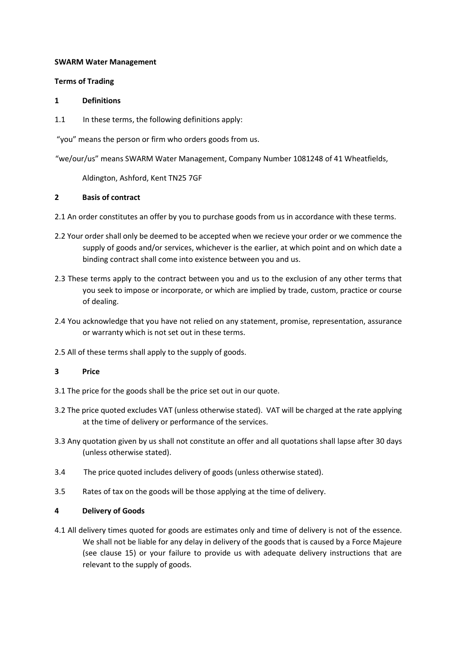### SWARM Water Management

### Terms of Trading

### 1 Definitions

1.1 In these terms, the following definitions apply:

"you" means the person or firm who orders goods from us.

"we/our/us" means SWARM Water Management, Company Number 1081248 of 41 Wheatfields,

Aldington, Ashford, Kent TN25 7GF

# 2 Basis of contract

2.1 An order constitutes an offer by you to purchase goods from us in accordance with these terms.

- 2.2 Your order shall only be deemed to be accepted when we recieve your order or we commence the supply of goods and/or services, whichever is the earlier, at which point and on which date a binding contract shall come into existence between you and us.
- 2.3 These terms apply to the contract between you and us to the exclusion of any other terms that you seek to impose or incorporate, or which are implied by trade, custom, practice or course of dealing.
- 2.4 You acknowledge that you have not relied on any statement, promise, representation, assurance or warranty which is not set out in these terms.
- 2.5 All of these terms shall apply to the supply of goods.

# 3 Price

- 3.1 The price for the goods shall be the price set out in our quote.
- 3.2 The price quoted excludes VAT (unless otherwise stated). VAT will be charged at the rate applying at the time of delivery or performance of the services.
- 3.3 Any quotation given by us shall not constitute an offer and all quotations shall lapse after 30 days (unless otherwise stated).
- 3.4 The price quoted includes delivery of goods (unless otherwise stated).
- 3.5 Rates of tax on the goods will be those applying at the time of delivery.

# 4 Delivery of Goods

4.1 All delivery times quoted for goods are estimates only and time of delivery is not of the essence. We shall not be liable for any delay in delivery of the goods that is caused by a Force Majeure (see clause 15) or your failure to provide us with adequate delivery instructions that are relevant to the supply of goods.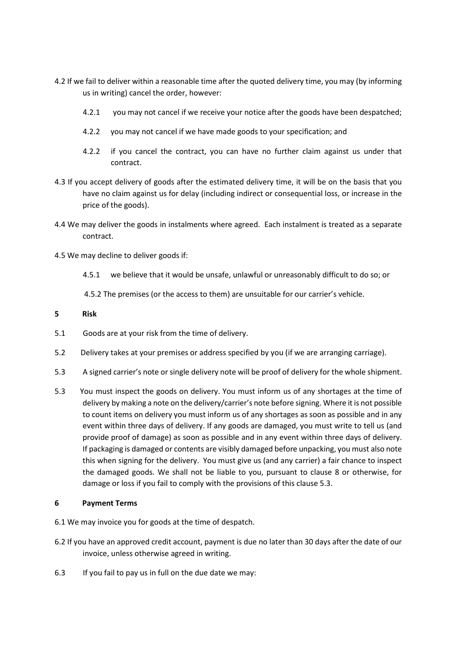- 4.2 If we fail to deliver within a reasonable time after the quoted delivery time, you may (by informing us in writing) cancel the order, however:
	- 4.2.1 you may not cancel if we receive your notice after the goods have been despatched;
	- 4.2.2 you may not cancel if we have made goods to your specification; and
	- 4.2.2 if you cancel the contract, you can have no further claim against us under that contract.
- 4.3 If you accept delivery of goods after the estimated delivery time, it will be on the basis that you have no claim against us for delay (including indirect or consequential loss, or increase in the price of the goods).
- 4.4 We may deliver the goods in instalments where agreed. Each instalment is treated as a separate contract.
- 4.5 We may decline to deliver goods if:
	- 4.5.1 we believe that it would be unsafe, unlawful or unreasonably difficult to do so; or

4.5.2 The premises (or the access to them) are unsuitable for our carrier's vehicle.

### 5 Risk

- 5.1 Goods are at your risk from the time of delivery.
- 5.2 Delivery takes at your premises or address specified by you (if we are arranging carriage).
- 5.3 A signed carrier's note or single delivery note will be proof of delivery for the whole shipment.
- 5.3 You must inspect the goods on delivery. You must inform us of any shortages at the time of delivery by making a note on the delivery/carrier's note before signing. Where it is not possible to count items on delivery you must inform us of any shortages as soon as possible and in any event within three days of delivery. If any goods are damaged, you must write to tell us (and provide proof of damage) as soon as possible and in any event within three days of delivery. If packaging is damaged or contents are visibly damaged before unpacking, you must also note this when signing for the delivery. You must give us (and any carrier) a fair chance to inspect the damaged goods. We shall not be liable to you, pursuant to clause 8 or otherwise, for damage or loss if you fail to comply with the provisions of this clause 5.3.

### 6 Payment Terms

- 6.1 We may invoice you for goods at the time of despatch.
- 6.2 If you have an approved credit account, payment is due no later than 30 days after the date of our invoice, unless otherwise agreed in writing.
- 6.3 If you fail to pay us in full on the due date we may: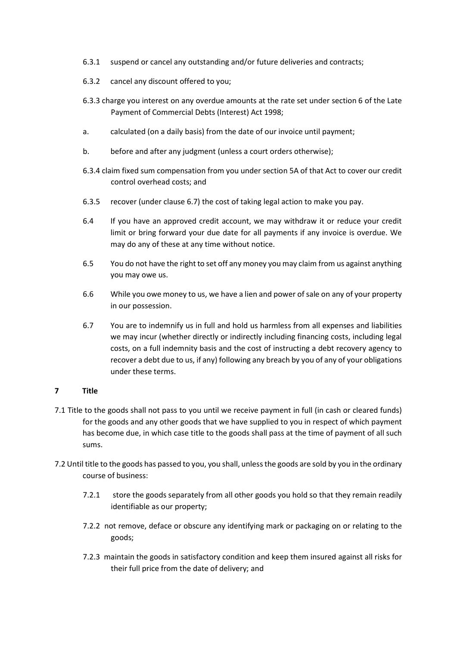- 6.3.1 suspend or cancel any outstanding and/or future deliveries and contracts;
- 6.3.2 cancel any discount offered to you;
- 6.3.3 charge you interest on any overdue amounts at the rate set under section 6 of the Late Payment of Commercial Debts (Interest) Act 1998;
- a. calculated (on a daily basis) from the date of our invoice until payment;
- b. before and after any judgment (unless a court orders otherwise);
- 6.3.4 claim fixed sum compensation from you under section 5A of that Act to cover our credit control overhead costs; and
- 6.3.5 recover (under clause 6.7) the cost of taking legal action to make you pay.
- 6.4 If you have an approved credit account, we may withdraw it or reduce your credit limit or bring forward your due date for all payments if any invoice is overdue. We may do any of these at any time without notice.
- 6.5 You do not have the right to set off any money you may claim from us against anything you may owe us.
- 6.6 While you owe money to us, we have a lien and power of sale on any of your property in our possession.
- 6.7 You are to indemnify us in full and hold us harmless from all expenses and liabilities we may incur (whether directly or indirectly including financing costs, including legal costs, on a full indemnity basis and the cost of instructing a debt recovery agency to recover a debt due to us, if any) following any breach by you of any of your obligations under these terms.

# 7 Title

- 7.1 Title to the goods shall not pass to you until we receive payment in full (in cash or cleared funds) for the goods and any other goods that we have supplied to you in respect of which payment has become due, in which case title to the goods shall pass at the time of payment of all such sums.
- 7.2 Until title to the goods has passed to you, you shall, unless the goods are sold by you in the ordinary course of business:
	- 7.2.1 store the goods separately from all other goods you hold so that they remain readily identifiable as our property;
	- 7.2.2 not remove, deface or obscure any identifying mark or packaging on or relating to the goods;
	- 7.2.3 maintain the goods in satisfactory condition and keep them insured against all risks for their full price from the date of delivery; and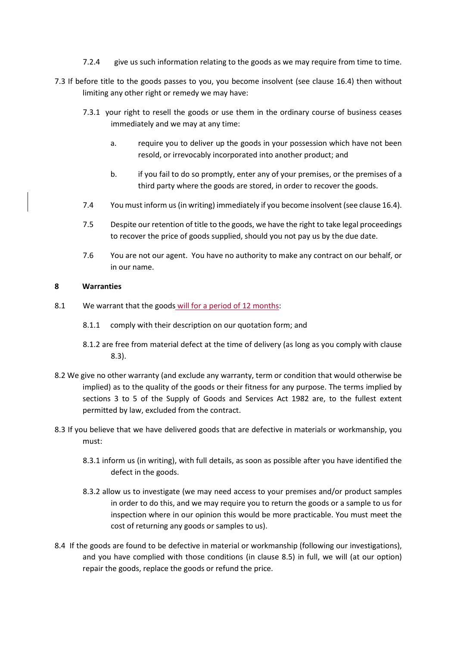- 7.2.4 give us such information relating to the goods as we may require from time to time.
- 7.3 If before title to the goods passes to you, you become insolvent (see clause 16.4) then without limiting any other right or remedy we may have:
	- 7.3.1 your right to resell the goods or use them in the ordinary course of business ceases immediately and we may at any time:
		- a. require you to deliver up the goods in your possession which have not been resold, or irrevocably incorporated into another product; and
		- b. if you fail to do so promptly, enter any of your premises, or the premises of a third party where the goods are stored, in order to recover the goods.
	- 7.4 You must inform us (in writing) immediately if you become insolvent (see clause 16.4).
	- 7.5 Despite our retention of title to the goods, we have the right to take legal proceedings to recover the price of goods supplied, should you not pay us by the due date.
	- 7.6 You are not our agent. You have no authority to make any contract on our behalf, or in our name.

### 8 Warranties

- 8.1 We warrant that the goods will for a period of 12 months:
	- 8.1.1 comply with their description on our quotation form; and
	- 8.1.2 are free from material defect at the time of delivery (as long as you comply with clause 8.3).
- 8.2 We give no other warranty (and exclude any warranty, term or condition that would otherwise be implied) as to the quality of the goods or their fitness for any purpose. The terms implied by sections 3 to 5 of the Supply of Goods and Services Act 1982 are, to the fullest extent permitted by law, excluded from the contract.
- 8.3 If you believe that we have delivered goods that are defective in materials or workmanship, you must:
	- 8.3.1 inform us (in writing), with full details, as soon as possible after you have identified the defect in the goods.
	- 8.3.2 allow us to investigate (we may need access to your premises and/or product samples in order to do this, and we may require you to return the goods or a sample to us for inspection where in our opinion this would be more practicable. You must meet the cost of returning any goods or samples to us).
- 8.4 If the goods are found to be defective in material or workmanship (following our investigations), and you have complied with those conditions (in clause 8.5) in full, we will (at our option) repair the goods, replace the goods or refund the price.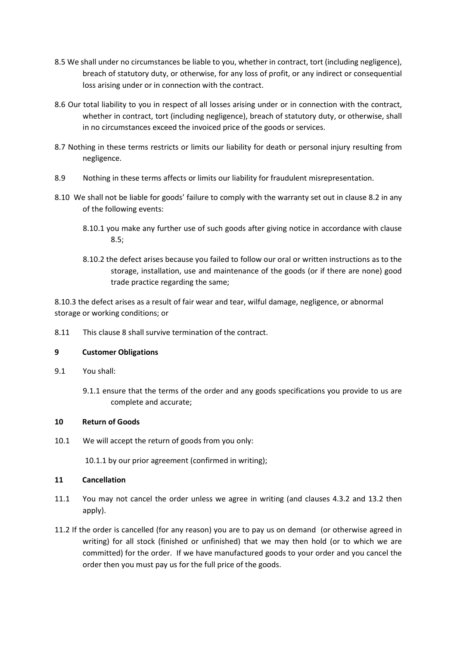- 8.5 We shall under no circumstances be liable to you, whether in contract, tort (including negligence), breach of statutory duty, or otherwise, for any loss of profit, or any indirect or consequential loss arising under or in connection with the contract.
- 8.6 Our total liability to you in respect of all losses arising under or in connection with the contract, whether in contract, tort (including negligence), breach of statutory duty, or otherwise, shall in no circumstances exceed the invoiced price of the goods or services.
- 8.7 Nothing in these terms restricts or limits our liability for death or personal injury resulting from negligence.
- 8.9 Nothing in these terms affects or limits our liability for fraudulent misrepresentation.
- 8.10 We shall not be liable for goods' failure to comply with the warranty set out in clause 8.2 in any of the following events:
	- 8.10.1 you make any further use of such goods after giving notice in accordance with clause 8.5;
	- 8.10.2 the defect arises because you failed to follow our oral or written instructions as to the storage, installation, use and maintenance of the goods (or if there are none) good trade practice regarding the same;

8.10.3 the defect arises as a result of fair wear and tear, wilful damage, negligence, or abnormal storage or working conditions; or

8.11 This clause 8 shall survive termination of the contract.

### 9 Customer Obligations

- 9.1 You shall:
	- 9.1.1 ensure that the terms of the order and any goods specifications you provide to us are complete and accurate;

### 10 Return of Goods

10.1 We will accept the return of goods from you only:

10.1.1 by our prior agreement (confirmed in writing);

### 11 Cancellation

- 11.1 You may not cancel the order unless we agree in writing (and clauses 4.3.2 and 13.2 then apply).
- 11.2 If the order is cancelled (for any reason) you are to pay us on demand (or otherwise agreed in writing) for all stock (finished or unfinished) that we may then hold (or to which we are committed) for the order. If we have manufactured goods to your order and you cancel the order then you must pay us for the full price of the goods.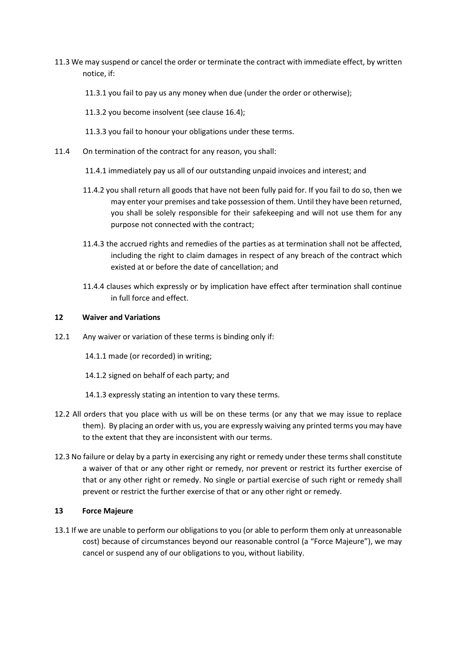- 11.3 We may suspend or cancel the order or terminate the contract with immediate effect, by written notice, if:
	- 11.3.1 you fail to pay us any money when due (under the order or otherwise);
	- 11.3.2 you become insolvent (see clause 16.4);
	- 11.3.3 you fail to honour your obligations under these terms.
- 11.4 On termination of the contract for any reason, you shall:
	- 11.4.1 immediately pay us all of our outstanding unpaid invoices and interest; and
	- 11.4.2 you shall return all goods that have not been fully paid for. If you fail to do so, then we may enter your premises and take possession of them. Until they have been returned, you shall be solely responsible for their safekeeping and will not use them for any purpose not connected with the contract;
	- 11.4.3 the accrued rights and remedies of the parties as at termination shall not be affected, including the right to claim damages in respect of any breach of the contract which existed at or before the date of cancellation; and
	- 11.4.4 clauses which expressly or by implication have effect after termination shall continue in full force and effect.

### 12 Waiver and Variations

- 12.1 Any waiver or variation of these terms is binding only if:
	- 14.1.1 made (or recorded) in writing;
	- 14.1.2 signed on behalf of each party; and
	- 14.1.3 expressly stating an intention to vary these terms.
- 12.2 All orders that you place with us will be on these terms (or any that we may issue to replace them). By placing an order with us, you are expressly waiving any printed terms you may have to the extent that they are inconsistent with our terms.
- 12.3 No failure or delay by a party in exercising any right or remedy under these terms shall constitute a waiver of that or any other right or remedy, nor prevent or restrict its further exercise of that or any other right or remedy. No single or partial exercise of such right or remedy shall prevent or restrict the further exercise of that or any other right or remedy.

### 13 Force Majeure

13.1 If we are unable to perform our obligations to you (or able to perform them only at unreasonable cost) because of circumstances beyond our reasonable control (a "Force Majeure"), we may cancel or suspend any of our obligations to you, without liability.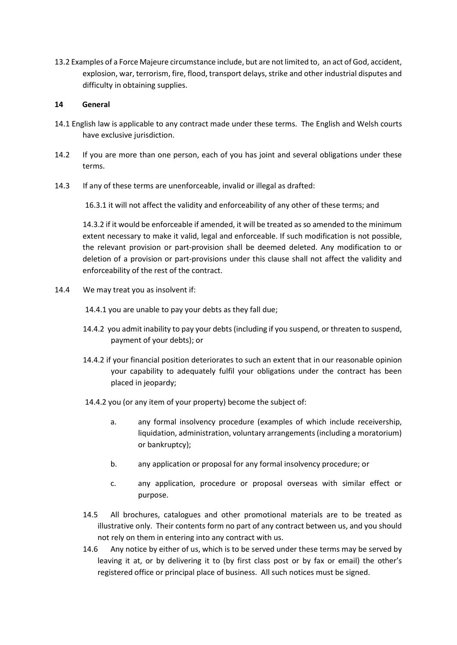13.2 Examples of a Force Majeure circumstance include, but are not limited to, an act of God, accident, explosion, war, terrorism, fire, flood, transport delays, strike and other industrial disputes and difficulty in obtaining supplies.

### 14 General

- 14.1 English law is applicable to any contract made under these terms. The English and Welsh courts have exclusive jurisdiction.
- 14.2 If you are more than one person, each of you has joint and several obligations under these terms.
- 14.3 If any of these terms are unenforceable, invalid or illegal as drafted:

16.3.1 it will not affect the validity and enforceability of any other of these terms; and

 14.3.2 if it would be enforceable if amended, it will be treated as so amended to the minimum extent necessary to make it valid, legal and enforceable. If such modification is not possible, the relevant provision or part-provision shall be deemed deleted. Any modification to or deletion of a provision or part-provisions under this clause shall not affect the validity and enforceability of the rest of the contract.

14.4 We may treat you as insolvent if:

14.4.1 you are unable to pay your debts as they fall due;

- 14.4.2 you admit inability to pay your debts (including if you suspend, or threaten to suspend, payment of your debts); or
- 14.4.2 if your financial position deteriorates to such an extent that in our reasonable opinion your capability to adequately fulfil your obligations under the contract has been placed in jeopardy;
- 14.4.2 you (or any item of your property) become the subject of:
	- a. any formal insolvency procedure (examples of which include receivership, liquidation, administration, voluntary arrangements (including a moratorium) or bankruptcy);
	- b. any application or proposal for any formal insolvency procedure; or
	- c. any application, procedure or proposal overseas with similar effect or purpose.
- 14.5 All brochures, catalogues and other promotional materials are to be treated as illustrative only. Their contents form no part of any contract between us, and you should not rely on them in entering into any contract with us.
- 14.6 Any notice by either of us, which is to be served under these terms may be served by leaving it at, or by delivering it to (by first class post or by fax or email) the other's registered office or principal place of business. All such notices must be signed.